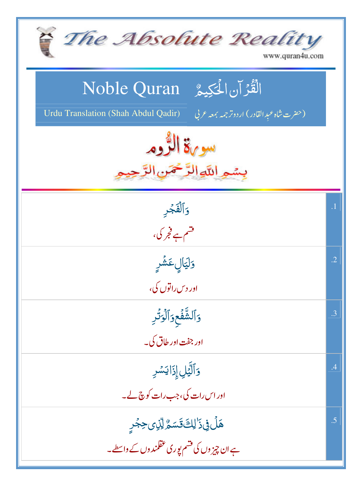| The Absolute Reality<br>www.quran4u.com                                                                                        |            |
|--------------------------------------------------------------------------------------------------------------------------------|------------|
| الْقُرْآنِ الْحَكِيمُّ Noble Quran<br><b>Urdu Translation (Shah Abdul Qadir)</b><br>(حضرت شاه عبد القادر) اردوتر جمه بمعه عربي |            |
| سوية الثروم<br>بيشع اللهاالرَّحْمَن                                                                                            |            |
| وَأَلْفَجْرِ<br>قشم ہے فجر کی،                                                                                                 | $\cdot$ 1  |
| <mark>وَلَيَالٍ عَشْرِ</mark><br>اور د س راتوں کی،                                                                             | $\cdot$ .2 |
| وَٱلشَّفَعِوَٱلۡوَتَٰٓرِ<br>اور جفت اور طاق کی۔                                                                                | .3         |
| وَٱلَّيۡلِ إِذَا يَسۡرِ<br>اور اس رات کی، جب رات کوچ لے۔                                                                       | .4         |
| ۿڶٙ؋ۣۮؘٳڸڰٙۊؘٙ؊ۣ۠ٳڸٚۯؠڝؚؖؖؖٛۼڔۣ<br>ہے ان چیز وں کی قسم پوری عقلمند وں کے واسطے۔                                                | .5         |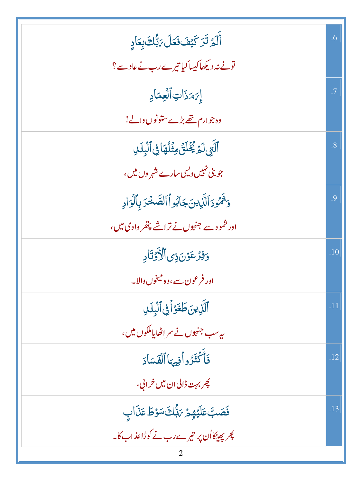| أَلَمۡ تَرَ كَيۡفَ فَعَلَ رَبُّكَ بِعَادٍ         | .6  |
|---------------------------------------------------|-----|
| تونے نہ دیکھاکیپا کیا تیرے رب نے عادے؟            |     |
| إِيَهَ ذَاتِ ٱلْعِمَادِ                           | .7  |
| وہ جوارم تھے بڑے ستونوں دالے!                     |     |
| ٱلَّتِي لَمَرَ يُخۡلَقَٰ مِثۡلُهَا فِى ٱلۡبِلَالِ | .8  |
| جو بنی نہیں ویں سارے شہر وں میں،                  |     |
| وَثَمُّودَٱلَّٰٓزِينَ جَابُواۡٱلصَّخۡرَبِٱلۡوَادِ | .9  |
| ادر شمودے جنہوں نے تراشے پتھر وادی میں،           |     |
| وَفِزْعَوۡنَ ذِی ٱلۡأَوۡتَادِ                     | .10 |
| اور فرعون سے،وہ میخوں والا۔                       |     |
|                                                   |     |
| ٱلَّذِينَ طَغَوۡاً فِى ٱلۡبِلَىٰ                  | .11 |
| ىيەسب جنہوں نے سراٹھاياملكوں ميں،                 |     |
| فأكْثَرُواْفِيهَاٱلْفَسَادَ                       | .12 |
| چربہت ڈالی ان میں خرابی،                          |     |
| فَصَبَّ عَلَيْهِمُ 7َبُّكَ سَوْطَ عَذَابِ         | .13 |
| چرپچینکااُن پر تیرے رب نے کوڑاعذاب کا۔            |     |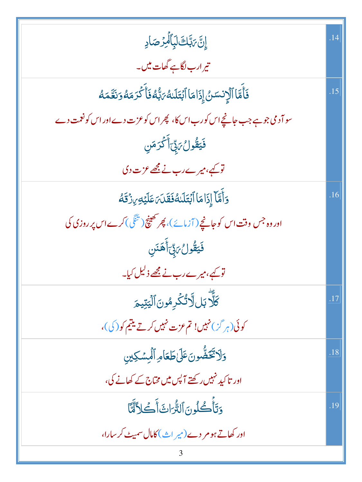| ٳۣڹٞ؆ڹۜڮٳڸؘٲڵٙڮۯڝؘٳڍ                                                           |     |
|--------------------------------------------------------------------------------|-----|
| تیر ارب لگاہے گھات میں۔                                                        |     |
| فَأَمَّا ٱلۡإِنسَىٰ إِذَامَاۚ ٱبۡتَلَىٰهُۥٓ بَٰٓ ۖ فَأَكۡ كَرَمَهُ وَنَعَّمَهُ | .15 |
| سو آدمی جو ہے جب جانیجے اس کورب اس کا، پھر اس کوعزت دے اور اس کو نعمت دے       |     |
| فَيَقُولُ مَبِّىٰ أَكْرَمَنِ                                                   |     |
| تو کیے، میرے رب نے مجھے عزت دی                                                 |     |
| وَأَمَّآ إِذَامَاۤ ٱبۡتَلَللَّفَقَلَٰٓ عَلَيۡهِ مِنۡ قَلَّهُ                   | .16 |
| اور وہ جس وقت اس کو جانچے ( آزمائے )، پھر تھینچ ( تنگی ) کرے اس پر روزی کی     |     |
| فَيَقُولُ يَبِّأَهَنَنِ                                                        |     |
| تو کیے، میرے رب نے مجھے ذلیل کیا۔                                              |     |
| كَلَّا بَلِلَّاتُكُرِمُونَ ٱلۡيَتِيمَ                                          | .17 |
| کوئی(ہر گز)نہیں! تم عزت نہیں کرتے یتیم کو( کی)،                                |     |
| وَلَاتَّقَضُّونَ عَلَىٰ طَعَامِ ٱلْمِسْكِينِ                                   | .18 |
| اور تاکید نہیں رکھتے آپس میں مخاج کے کھانے کی،                                 |     |
| وَتَأْكُلُونَ ٱلثُّرَاثَ أَكَلاَّلَّاً                                         | .19 |
| اور کھاتے ہو مر دے(میر اث)کامال سمیٹ کر سارا،                                  |     |
| 3                                                                              |     |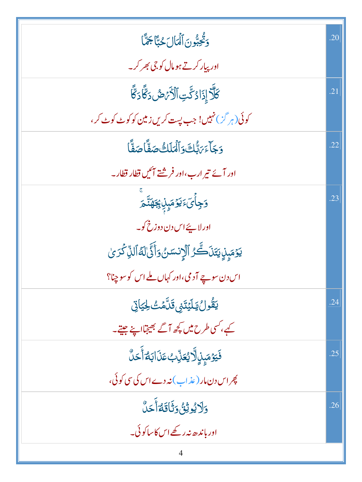| وَثَّحِبُّونَ ٱلۡمَالَ حُبَّآ جَمَّآا                                      | .20 |
|----------------------------------------------------------------------------|-----|
| اور پیار کرتے ہومال کو جی بھر کر۔                                          |     |
| ػۜڷؖڒٳۮؘٳۮػؖؾؚٱڷ <sup>ڒ</sup> ؘ <i>ؠٙٙڞ</i> ؘۮػؖ۠ٲۮػؖ۠                     | .21 |
| کوئی(ہر گ <sup>ی</sup> ) نہیں! جب پست کریں زمین کو کو <sub>ٹ</sub> کوٹ کر، |     |
| وَجَاءَ مَ بُّلَتَّ وَٱلۡمَلَكُ صَفَّاۡ صَفَّاۡ                            | .22 |
| اور آئے تیر ارب،اور فرشتے آئیں قطار قطار۔                                  |     |
| ۏ <sup>ٟ</sup> ڿٲؗؽٙۦؘؾۯٙڡؘؠ۪ڶۣ <del>ٳڿ</del> ۿڐۜ <u>ۜ</u> ڡٙ              | .23 |
| اور لاپئے اس دن دوزخ کو۔                                                   |     |
| يَوۡمَبِنِ يَتَنَكَّرُ ٱلۡإِنسَنُ وَأَنَّىٰٓالَهُ ٱلَّذِ كَرَىٰ            |     |
| اس دن سوچ آدمی،اور کہاں ملے اس کو سوچنا؟                                   |     |
| <u>ؾ</u> ڦُولُ ؾۣڵؿٙڐؽۊؘڷۜۿٮ۠ڂؾٳێ                                          | .24 |
| کیے، کسی طرح میں کچھ آگے بھیجتااپنے جیتے۔                                  |     |
| فَيَوۡمَبِنِٱلَّايُعَنِّبُٴَنَاابَ <i>اء</i> َٲَٞحَلَّ                     | .25 |
| پھر اس دن مار (عذاب)نہ دے اس کی سی کوئی،                                   |     |
| <u>وَلَايُوثِقُ وَثَاقَةُ</u> أَحَلَّ                                      | .26 |
| اور ہاندھ نہ رکھے اس کاساکوئی۔                                             |     |
|                                                                            |     |